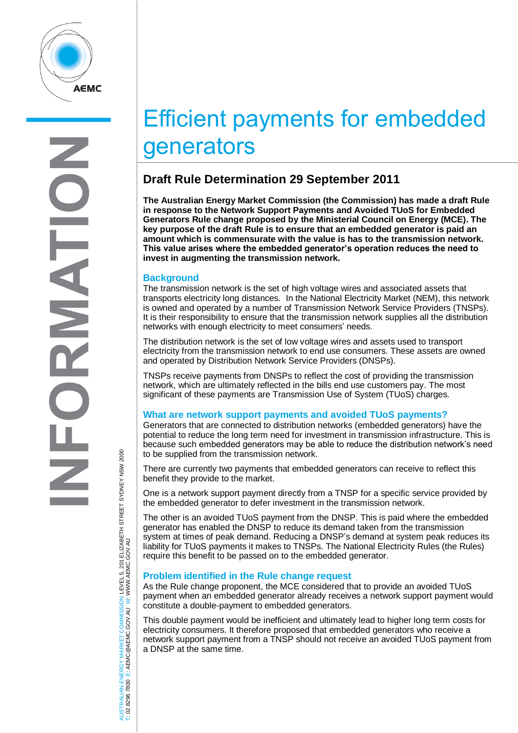

# Efficient payments for embedded generators

# **Draft Rule Determination 29 September 2011**

**The Australian Energy Market Commission (the Commission) has made a draft Rule in response to the Network Support Payments and Avoided TUoS for Embedded Generators Rule change proposed by the Ministerial Council on Energy (MCE). The key purpose of the draft Rule is to ensure that an embedded generator is paid an amount which is commensurate with the value is has to the transmission network. This value arises where the embedded generator's operation reduces the need to invest in augmenting the transmission network.**

### **Background**

The transmission network is the set of high voltage wires and associated assets that transports electricity long distances. In the National Electricity Market (NEM), this network is owned and operated by a number of Transmission Network Service Providers (TNSPs). It is their responsibility to ensure that the transmission network supplies all the distribution networks with enough electricity to meet consumers' needs.

The distribution network is the set of low voltage wires and assets used to transport electricity from the transmission network to end use consumers. These assets are owned and operated by Distribution Network Service Providers (DNSPs).

TNSPs receive payments from DNSPs to reflect the cost of providing the transmission network, which are ultimately reflected in the bills end use customers pay. The most significant of these payments are Transmission Use of System (TUoS) charges.

# **What are network support payments and avoided TUoS payments?**

Generators that are connected to distribution networks (embedded generators) have the potential to reduce the long term need for investment in transmission infrastructure. This is because such embedded generators may be able to reduce the distribution network's need to be supplied from the transmission network.

There are currently two payments that embedded generators can receive to reflect this benefit they provide to the market.

One is a network support payment directly from a TNSP for a specific service provided by the embedded generator to defer investment in the transmission network.

The other is an avoided TUoS payment from the DNSP. This is paid where the embedded generator has enabled the DNSP to reduce its demand taken from the transmission system at times of peak demand. Reducing a DNSP's demand at system peak reduces its liability for TUoS payments it makes to TNSPs. The National Electricity Rules (the Rules) require this benefit to be passed on to the embedded generator.

# **Problem identified in the Rule change request**

As the Rule change proponent, the MCE considered that to provide an avoided TUoS payment when an embedded generator already receives a network support payment would constitute a double-payment to embedded generators.

This double payment would be inefficient and ultimately lead to higher long term costs for electricity consumers. It therefore proposed that embedded generators who receive a network support payment from a TNSP should not receive an avoided TUoS payment from a DNSP at the same time.

AUSTRALIAN ENERGY MARKET COMMISSION LEVEL 5, 201 ELIZABETH STREET SYDNEY NSW 2000<br>T: 02 8296 7800 E: AEMC@AEMC.GOV.AU W: WWW.AEMC.GOV.AU AUSTRALIAN ENERGY MARKET COMMISSION LEVEL 5, 201 ELIZABETH STREET SYDNEY NSW 2000 W: WWW.AEMC.GOV.AU T: 02 8296 7800 E: AEMC@AEMC.GOV.AU